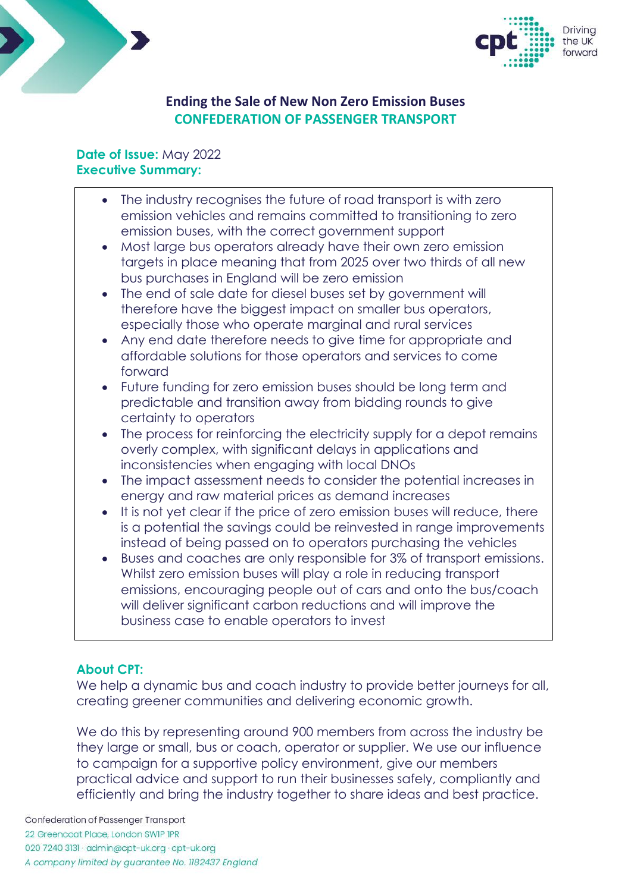



# **Ending the Sale of New Non Zero Emission Buses CONFEDERATION OF PASSENGER TRANSPORT**

#### **Date of Issue:** May 2022 **Executive Summary:**

- The industry recognises the future of road transport is with zero emission vehicles and remains committed to transitioning to zero emission buses, with the correct government support
- Most large bus operators already have their own zero emission targets in place meaning that from 2025 over two thirds of all new bus purchases in England will be zero emission
- The end of sale date for diesel buses set by government will therefore have the biggest impact on smaller bus operators, especially those who operate marginal and rural services
- Any end date therefore needs to give time for appropriate and affordable solutions for those operators and services to come forward
- Future funding for zero emission buses should be long term and predictable and transition away from bidding rounds to give certainty to operators
- The process for reinforcing the electricity supply for a depot remains overly complex, with significant delays in applications and inconsistencies when engaging with local DNOs
- The impact assessment needs to consider the potential increases in energy and raw material prices as demand increases
- It is not yet clear if the price of zero emission buses will reduce, there is a potential the savings could be reinvested in range improvements instead of being passed on to operators purchasing the vehicles
- Buses and coaches are only responsible for 3% of transport emissions. Whilst zero emission buses will play a role in reducing transport emissions, encouraging people out of cars and onto the bus/coach will deliver significant carbon reductions and will improve the business case to enable operators to invest

## **About CPT:**

We help a dynamic bus and coach industry to provide better journeys for all, creating greener communities and delivering economic growth.

We do this by representing around 900 members from across the industry be they large or small, bus or coach, operator or supplier. We use our influence to campaign for a supportive policy environment, give our members practical advice and support to run their businesses safely, compliantly and efficiently and bring the industry together to share ideas and best practice.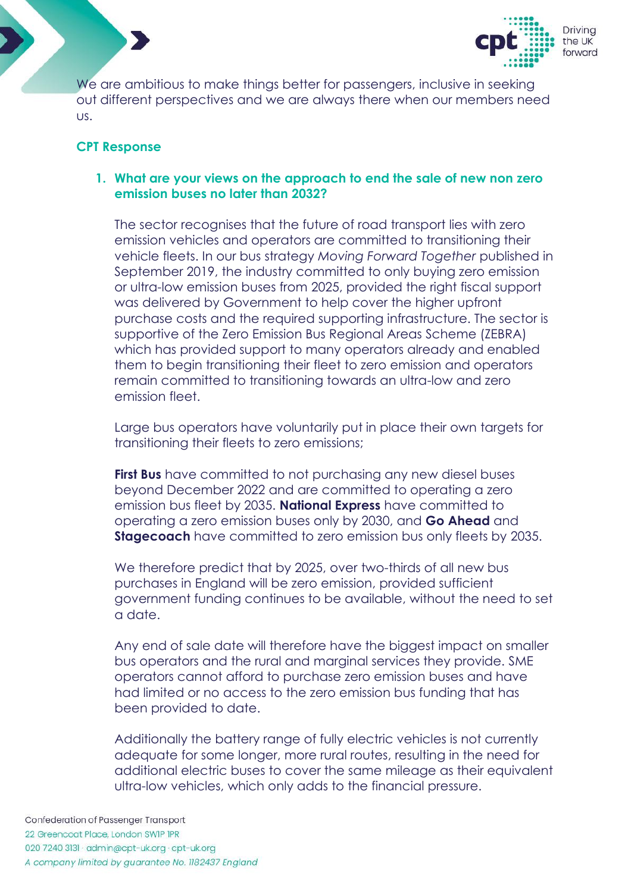



We are ambitious to make things better for passengers, inclusive in seeking out different perspectives and we are always there when our members need us.

#### **CPT Response**

#### **1. What are your views on the approach to end the sale of new non zero emission buses no later than 2032?**

The sector recognises that the future of road transport lies with zero emission vehicles and operators are committed to transitioning their vehicle fleets. In our bus strategy *Moving Forward Together* published in September 2019, the industry committed to only buying zero emission or ultra-low emission buses from 2025, provided the right fiscal support was delivered by Government to help cover the higher upfront purchase costs and the required supporting infrastructure. The sector is supportive of the Zero Emission Bus Regional Areas Scheme (ZEBRA) which has provided support to many operators already and enabled them to begin transitioning their fleet to zero emission and operators remain committed to transitioning towards an ultra-low and zero emission fleet.

Large bus operators have voluntarily put in place their own targets for transitioning their fleets to zero emissions;

**First Bus** have committed to not purchasing any new diesel buses beyond December 2022 and are committed to operating a zero emission bus fleet by 2035. **National Express** have committed to operating a zero emission buses only by 2030, and **Go Ahead** and **Stagecoach** have committed to zero emission bus only fleets by 2035.

We therefore predict that by 2025, over two-thirds of all new bus purchases in England will be zero emission, provided sufficient government funding continues to be available, without the need to set a date.

Any end of sale date will therefore have the biggest impact on smaller bus operators and the rural and marginal services they provide. SME operators cannot afford to purchase zero emission buses and have had limited or no access to the zero emission bus funding that has been provided to date.

Additionally the battery range of fully electric vehicles is not currently adequate for some longer, more rural routes, resulting in the need for additional electric buses to cover the same mileage as their equivalent ultra-low vehicles, which only adds to the financial pressure.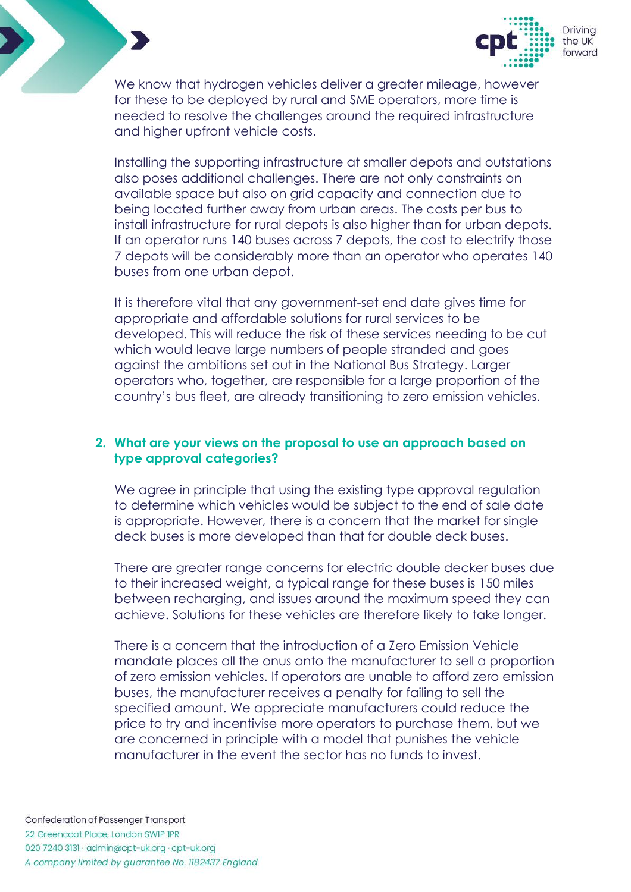

We know that hydrogen vehicles deliver a greater mileage, however for these to be deployed by rural and SME operators, more time is needed to resolve the challenges around the required infrastructure and higher upfront vehicle costs.

Installing the supporting infrastructure at smaller depots and outstations also poses additional challenges. There are not only constraints on available space but also on grid capacity and connection due to being located further away from urban areas. The costs per bus to install infrastructure for rural depots is also higher than for urban depots. If an operator runs 140 buses across 7 depots, the cost to electrify those 7 depots will be considerably more than an operator who operates 140 buses from one urban depot.

It is therefore vital that any government-set end date gives time for appropriate and affordable solutions for rural services to be developed. This will reduce the risk of these services needing to be cut which would leave large numbers of people stranded and goes against the ambitions set out in the National Bus Strategy. Larger operators who, together, are responsible for a large proportion of the country's bus fleet, are already transitioning to zero emission vehicles.

#### **2. What are your views on the proposal to use an approach based on type approval categories?**

We agree in principle that using the existing type approval regulation to determine which vehicles would be subject to the end of sale date is appropriate. However, there is a concern that the market for single deck buses is more developed than that for double deck buses.

There are greater range concerns for electric double decker buses due to their increased weight, a typical range for these buses is 150 miles between recharging, and issues around the maximum speed they can achieve. Solutions for these vehicles are therefore likely to take longer.

There is a concern that the introduction of a Zero Emission Vehicle mandate places all the onus onto the manufacturer to sell a proportion of zero emission vehicles. If operators are unable to afford zero emission buses, the manufacturer receives a penalty for failing to sell the specified amount. We appreciate manufacturers could reduce the price to try and incentivise more operators to purchase them, but we are concerned in principle with a model that punishes the vehicle manufacturer in the event the sector has no funds to invest.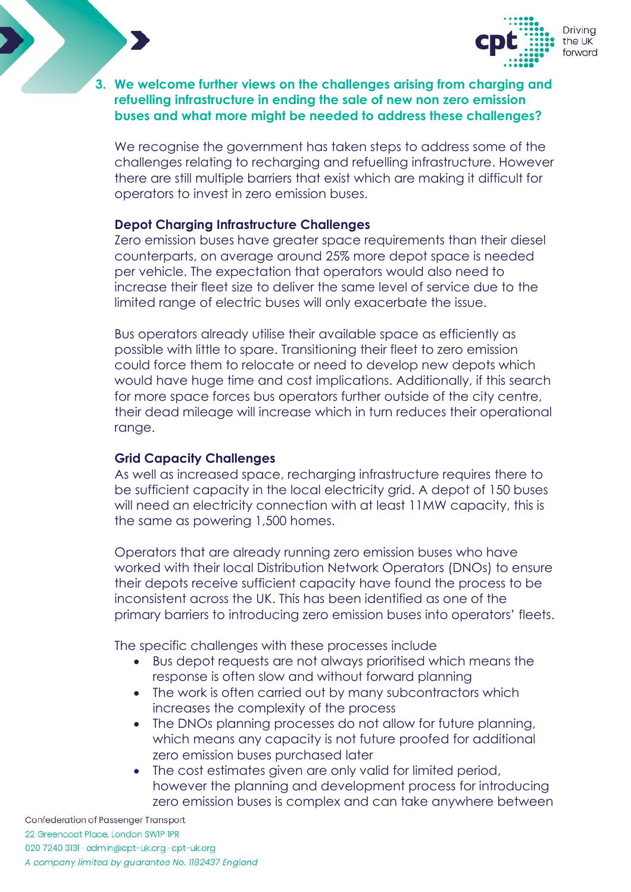

#### **3. We welcome further views on the challenges arising from charging and refuelling infrastructure in ending the sale of new non zero emission buses and what more might be needed to address these challenges?**

We recognise the government has taken steps to address some of the challenges relating to recharging and refuelling infrastructure. However there are still multiple barriers that exist which are making it difficult for operators to invest in zero emission buses.

#### **Depot Charging Infrastructure Challenges**

Zero emission buses have greater space requirements than their diesel counterparts, on average around 25% more depot space is needed per vehicle. The expectation that operators would also need to increase their fleet size to deliver the same level of service due to the limited range of electric buses will only exacerbate the issue.

Bus operators already utilise their available space as efficiently as possible with little to spare. Transitioning their fleet to zero emission could force them to relocate or need to develop new depots which would have huge time and cost implications. Additionally, if this search for more space forces bus operators further outside of the city centre, their dead mileage will increase which in turn reduces their operational range.

#### **Grid Capacity Challenges**

As well as increased space, recharging infrastructure requires there to be sufficient capacity in the local electricity grid. A depot of 150 buses will need an electricity connection with at least 11MW capacity, this is the same as powering 1,500 homes.

Operators that are already running zero emission buses who have worked with their local Distribution Network Operators (DNOs) to ensure their depots receive sufficient capacity have found the process to be inconsistent across the UK. This has been identified as one of the primary barriers to introducing zero emission buses into operators' fleets.

The specific challenges with these processes include

- Bus depot requests are not always prioritised which means the response is often slow and without forward planning
- The work is often carried out by many subcontractors which increases the complexity of the process
- The DNOs planning processes do not allow for future planning, which means any capacity is not future proofed for additional zero emission buses purchased later
- The cost estimates given are only valid for limited period, however the planning and development process for introducing zero emission buses is complex and can take anywhere between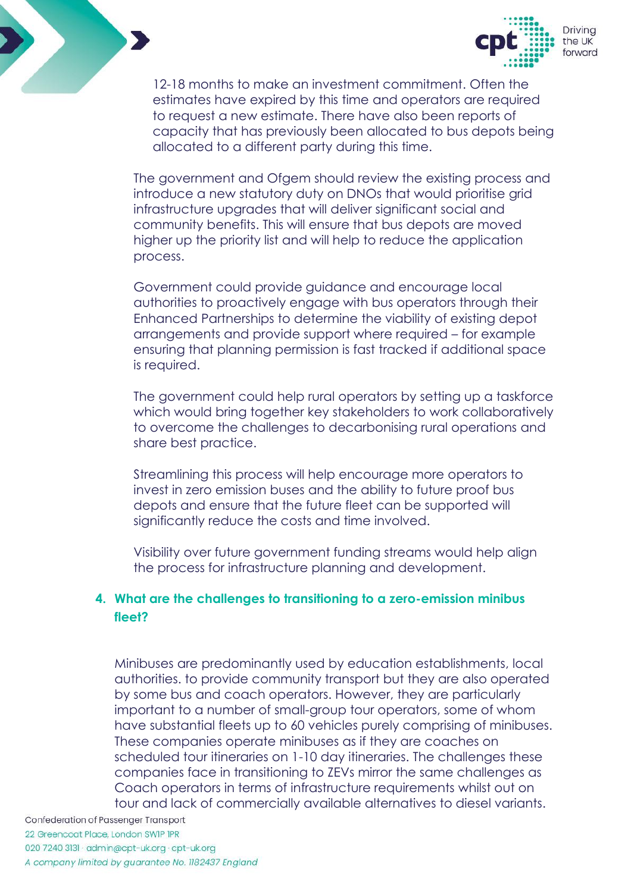



12-18 months to make an investment commitment. Often the estimates have expired by this time and operators are required to request a new estimate. There have also been reports of capacity that has previously been allocated to bus depots being allocated to a different party during this time.

The government and Ofgem should review the existing process and introduce a new statutory duty on DNOs that would prioritise grid infrastructure upgrades that will deliver significant social and community benefits. This will ensure that bus depots are moved higher up the priority list and will help to reduce the application process.

Government could provide guidance and encourage local authorities to proactively engage with bus operators through their Enhanced Partnerships to determine the viability of existing depot arrangements and provide support where required – for example ensuring that planning permission is fast tracked if additional space is required.

The government could help rural operators by setting up a taskforce which would bring together key stakeholders to work collaboratively to overcome the challenges to decarbonising rural operations and share best practice.

Streamlining this process will help encourage more operators to invest in zero emission buses and the ability to future proof bus depots and ensure that the future fleet can be supported will significantly reduce the costs and time involved.

Visibility over future government funding streams would help align the process for infrastructure planning and development.

## **4. What are the challenges to transitioning to a zero-emission minibus fleet?**

Minibuses are predominantly used by education establishments, local authorities. to provide community transport but they are also operated by some bus and coach operators. However, they are particularly important to a number of small-group tour operators, some of whom have substantial fleets up to 60 vehicles purely comprising of minibuses. These companies operate minibuses as if they are coaches on scheduled tour itineraries on 1-10 day itineraries. The challenges these companies face in transitioning to ZEVs mirror the same challenges as Coach operators in terms of infrastructure requirements whilst out on tour and lack of commercially available alternatives to diesel variants.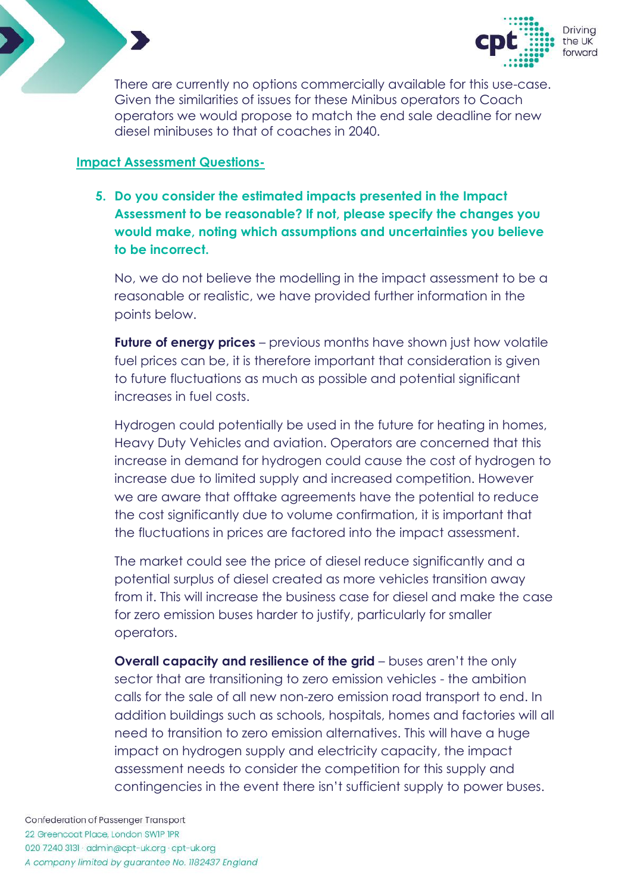



There are currently no options commercially available for this use-case. Given the similarities of issues for these Minibus operators to Coach operators we would propose to match the end sale deadline for new diesel minibuses to that of coaches in 2040.

### **Impact Assessment Questions-**

**5. Do you consider the estimated impacts presented in the [Impact](https://assets.publishing.service.gov.uk/government/uploads/system/uploads/attachment_data/file/1061409/impact-assessment-bus-end-of-sales.pdf)  [Assessment](https://assets.publishing.service.gov.uk/government/uploads/system/uploads/attachment_data/file/1061409/impact-assessment-bus-end-of-sales.pdf) to be reasonable? If not, please specify the changes you would make, noting which assumptions and uncertainties you believe to be incorrect.** 

No, we do not believe the modelling in the impact assessment to be a reasonable or realistic, we have provided further information in the points below.

**Future of energy prices** – previous months have shown just how volatile fuel prices can be, it is therefore important that consideration is given to future fluctuations as much as possible and potential significant increases in fuel costs.

Hydrogen could potentially be used in the future for heating in homes, Heavy Duty Vehicles and aviation. Operators are concerned that this increase in demand for hydrogen could cause the cost of hydrogen to increase due to limited supply and increased competition. However we are aware that offtake agreements have the potential to reduce the cost significantly due to volume confirmation, it is important that the fluctuations in prices are factored into the impact assessment.

The market could see the price of diesel reduce significantly and a potential surplus of diesel created as more vehicles transition away from it. This will increase the business case for diesel and make the case for zero emission buses harder to justify, particularly for smaller operators.

**Overall capacity and resilience of the grid** – buses aren't the only sector that are transitioning to zero emission vehicles - the ambition calls for the sale of all new non-zero emission road transport to end. In addition buildings such as schools, hospitals, homes and factories will all need to transition to zero emission alternatives. This will have a huge impact on hydrogen supply and electricity capacity, the impact assessment needs to consider the competition for this supply and contingencies in the event there isn't sufficient supply to power buses.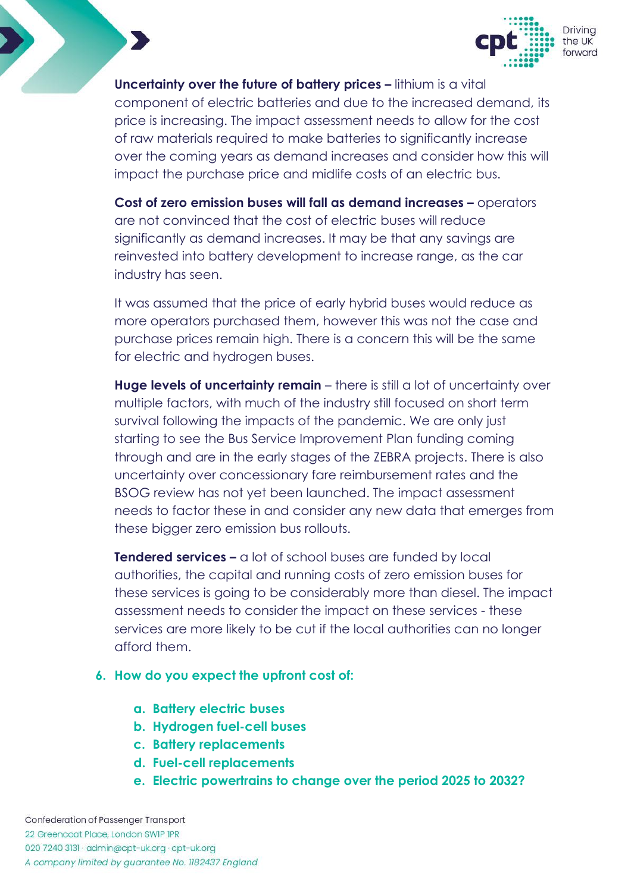

**Uncertainty over the future of battery prices –** lithium is a vital component of electric batteries and due to the increased demand, its price is increasing. The impact assessment needs to allow for the cost of raw materials required to make batteries to significantly increase over the coming years as demand increases and consider how this will impact the purchase price and midlife costs of an electric bus.

**Cost of zero emission buses will fall as demand increases –** operators are not convinced that the cost of electric buses will reduce significantly as demand increases. It may be that any savings are reinvested into battery development to increase range, as the car industry has seen.

It was assumed that the price of early hybrid buses would reduce as more operators purchased them, however this was not the case and purchase prices remain high. There is a concern this will be the same for electric and hydrogen buses.

**Huge levels of uncertainty remain** – there is still a lot of uncertainty over multiple factors, with much of the industry still focused on short term survival following the impacts of the pandemic. We are only just starting to see the Bus Service Improvement Plan funding coming through and are in the early stages of the ZEBRA projects. There is also uncertainty over concessionary fare reimbursement rates and the BSOG review has not yet been launched. The impact assessment needs to factor these in and consider any new data that emerges from these bigger zero emission bus rollouts.

**Tendered services –** a lot of school buses are funded by local authorities, the capital and running costs of zero emission buses for these services is going to be considerably more than diesel. The impact assessment needs to consider the impact on these services - these services are more likely to be cut if the local authorities can no longer afford them.

#### **6. How do you expect the upfront cost of:**

- **a. Battery electric buses**
- **b. Hydrogen fuel-cell buses**
- **c. Battery replacements**
- **d. Fuel-cell replacements**
- **e. Electric powertrains to change over the period 2025 to 2032?**

Confederation of Passenger Transport 22 Greencoat Place, London SWIP IPR 020 7240 3131 · admin@cpt-uk.org · cpt-uk.org A company limited by guarantee No. 1182437 England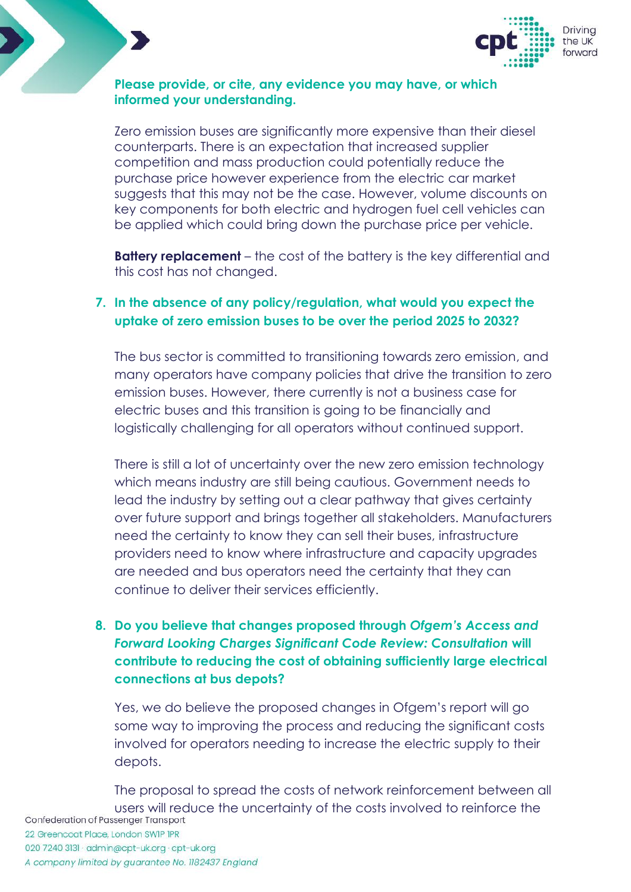

### **Please provide, or cite, any evidence you may have, or which informed your understanding.**

Zero emission buses are significantly more expensive than their diesel counterparts. There is an expectation that increased supplier competition and mass production could potentially reduce the purchase price however experience from the electric car market suggests that this may not be the case. However, volume discounts on key components for both electric and hydrogen fuel cell vehicles can be applied which could bring down the purchase price per vehicle.

**Battery replacement** – the cost of the battery is the key differential and this cost has not changed.

## **7. In the absence of any policy/regulation, what would you expect the uptake of zero emission buses to be over the period 2025 to 2032?**

The bus sector is committed to transitioning towards zero emission, and many operators have company policies that drive the transition to zero emission buses. However, there currently is not a business case for electric buses and this transition is going to be financially and logistically challenging for all operators without continued support.

There is still a lot of uncertainty over the new zero emission technology which means industry are still being cautious. Government needs to lead the industry by setting out a clear pathway that gives certainty over future support and brings together all stakeholders. Manufacturers need the certainty to know they can sell their buses, infrastructure providers need to know where infrastructure and capacity upgrades are needed and bus operators need the certainty that they can continue to deliver their services efficiently.

# **8. Do you believe that changes proposed through** *Ofgem's Access and Forward Looking Charges Significant Code Review: Consultation* **will contribute to reducing the cost of obtaining sufficiently large electrical connections at bus depots?**

Yes, we do believe the proposed changes in Ofgem's report will go some way to improving the process and reducing the significant costs involved for operators needing to increase the electric supply to their depots.

The proposal to spread the costs of network reinforcement between all users will reduce the uncertainty of the costs involved to reinforce the<br>confederation of Passenger Transport 22 Greencoat Place, London SWIP IPR 020 7240 3131 · admin@cpt-uk.org · cpt-uk.org A company limited by guarantee No. 1182437 England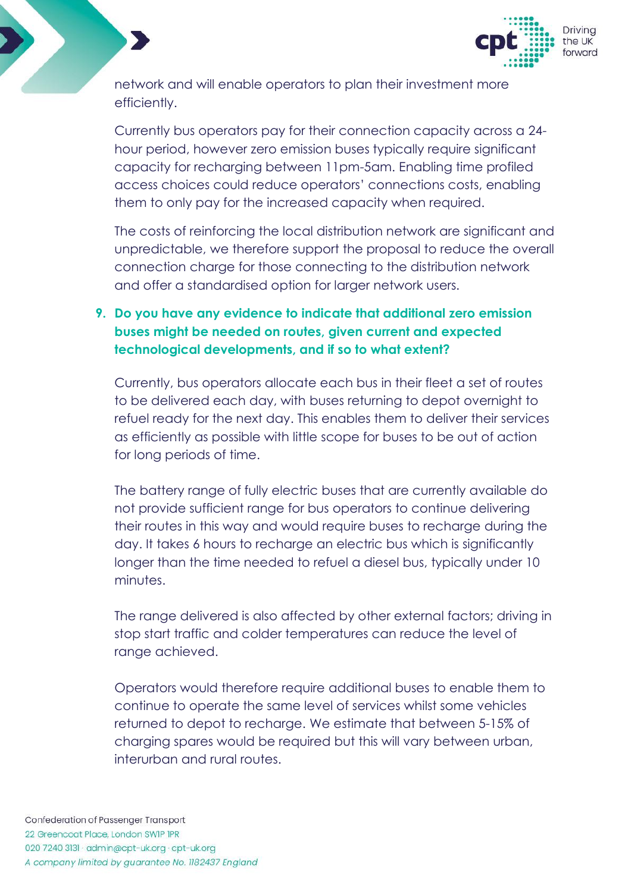

network and will enable operators to plan their investment more efficiently.

Currently bus operators pay for their connection capacity across a 24 hour period, however zero emission buses typically require significant capacity for recharging between 11pm-5am. Enabling time profiled access choices could reduce operators' connections costs, enabling them to only pay for the increased capacity when required.

The costs of reinforcing the local distribution network are significant and unpredictable, we therefore support the proposal to reduce the overall connection charge for those connecting to the distribution network and offer a standardised option for larger network users.

# **9. Do you have any evidence to indicate that additional zero emission buses might be needed on routes, given current and expected technological developments, and if so to what extent?**

Currently, bus operators allocate each bus in their fleet a set of routes to be delivered each day, with buses returning to depot overnight to refuel ready for the next day. This enables them to deliver their services as efficiently as possible with little scope for buses to be out of action for long periods of time.

The battery range of fully electric buses that are currently available do not provide sufficient range for bus operators to continue delivering their routes in this way and would require buses to recharge during the day. It takes 6 hours to recharge an electric bus which is significantly longer than the time needed to refuel a diesel bus, typically under 10 minutes.

The range delivered is also affected by other external factors; driving in stop start traffic and colder temperatures can reduce the level of range achieved.

Operators would therefore require additional buses to enable them to continue to operate the same level of services whilst some vehicles returned to depot to recharge. We estimate that between 5-15% of charging spares would be required but this will vary between urban, interurban and rural routes.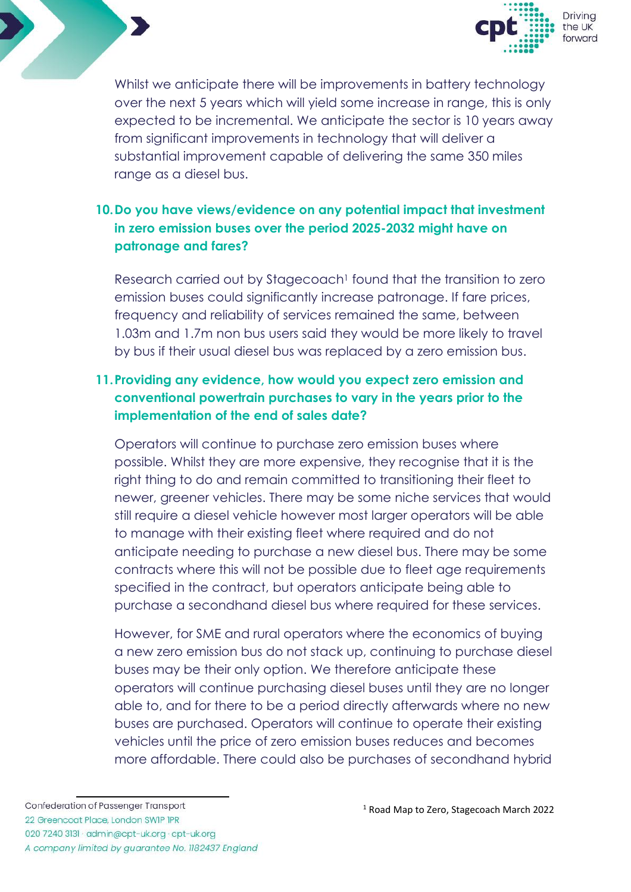



Whilst we anticipate there will be improvements in battery technology over the next 5 years which will yield some increase in range, this is only expected to be incremental. We anticipate the sector is 10 years away from significant improvements in technology that will deliver a substantial improvement capable of delivering the same 350 miles range as a diesel bus.

# **10.Do you have views/evidence on any potential impact that investment in zero emission buses over the period 2025-2032 might have on patronage and fares?**

Research carried out by Stagecoach<sup>1</sup> found that the transition to zero emission buses could significantly increase patronage. If fare prices, frequency and reliability of services remained the same, between 1.03m and 1.7m non bus users said they would be more likely to travel by bus if their usual diesel bus was replaced by a zero emission bus.

# **11.Providing any evidence, how would you expect zero emission and conventional powertrain purchases to vary in the years prior to the implementation of the end of sales date?**

Operators will continue to purchase zero emission buses where possible. Whilst they are more expensive, they recognise that it is the right thing to do and remain committed to transitioning their fleet to newer, greener vehicles. There may be some niche services that would still require a diesel vehicle however most larger operators will be able to manage with their existing fleet where required and do not anticipate needing to purchase a new diesel bus. There may be some contracts where this will not be possible due to fleet age requirements specified in the contract, but operators anticipate being able to purchase a secondhand diesel bus where required for these services.

However, for SME and rural operators where the economics of buying a new zero emission bus do not stack up, continuing to purchase diesel buses may be their only option. We therefore anticipate these operators will continue purchasing diesel buses until they are no longer able to, and for there to be a period directly afterwards where no new buses are purchased. Operators will continue to operate their existing vehicles until the price of zero emission buses reduces and becomes more affordable. There could also be purchases of secondhand hybrid

<sup>1</sup> Road Map to Zero, Stagecoach March 2022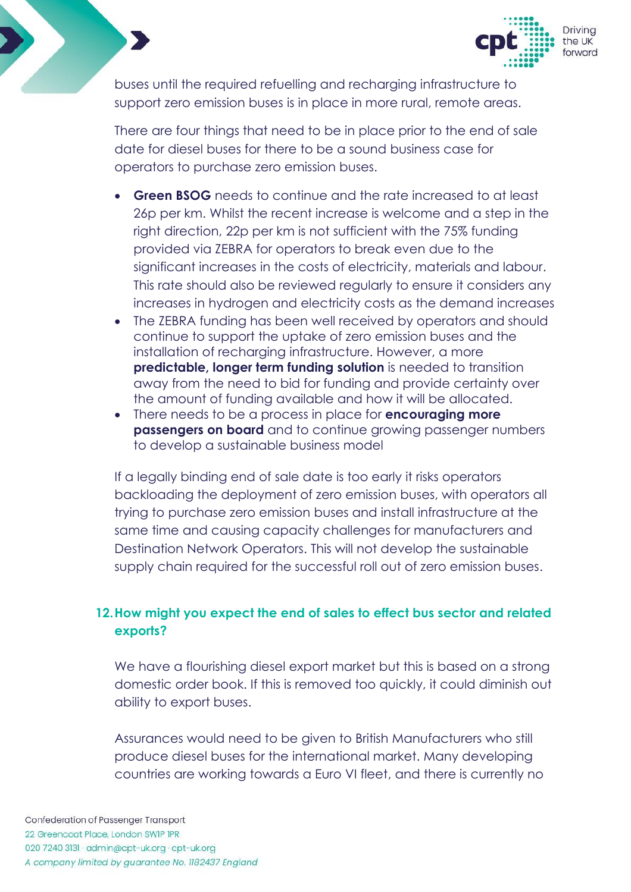

buses until the required refuelling and recharging infrastructure to support zero emission buses is in place in more rural, remote areas.

There are four things that need to be in place prior to the end of sale date for diesel buses for there to be a sound business case for operators to purchase zero emission buses.

- **Green BSOG** needs to continue and the rate increased to at least 26p per km. Whilst the recent increase is welcome and a step in the right direction, 22p per km is not sufficient with the 75% funding provided via ZEBRA for operators to break even due to the significant increases in the costs of electricity, materials and labour. This rate should also be reviewed regularly to ensure it considers any increases in hydrogen and electricity costs as the demand increases
- The ZEBRA funding has been well received by operators and should continue to support the uptake of zero emission buses and the installation of recharging infrastructure. However, a more **predictable, longer term funding solution** is needed to transition away from the need to bid for funding and provide certainty over the amount of funding available and how it will be allocated.
- There needs to be a process in place for **encouraging more passengers on board** and to continue growing passenger numbers to develop a sustainable business model

If a legally binding end of sale date is too early it risks operators backloading the deployment of zero emission buses, with operators all trying to purchase zero emission buses and install infrastructure at the same time and causing capacity challenges for manufacturers and Destination Network Operators. This will not develop the sustainable supply chain required for the successful roll out of zero emission buses.

## **12.How might you expect the end of sales to effect bus sector and related exports?**

We have a flourishing diesel export market but this is based on a strong domestic order book. If this is removed too quickly, it could diminish out ability to export buses.

Assurances would need to be given to British Manufacturers who still produce diesel buses for the international market. Many developing countries are working towards a Euro VI fleet, and there is currently no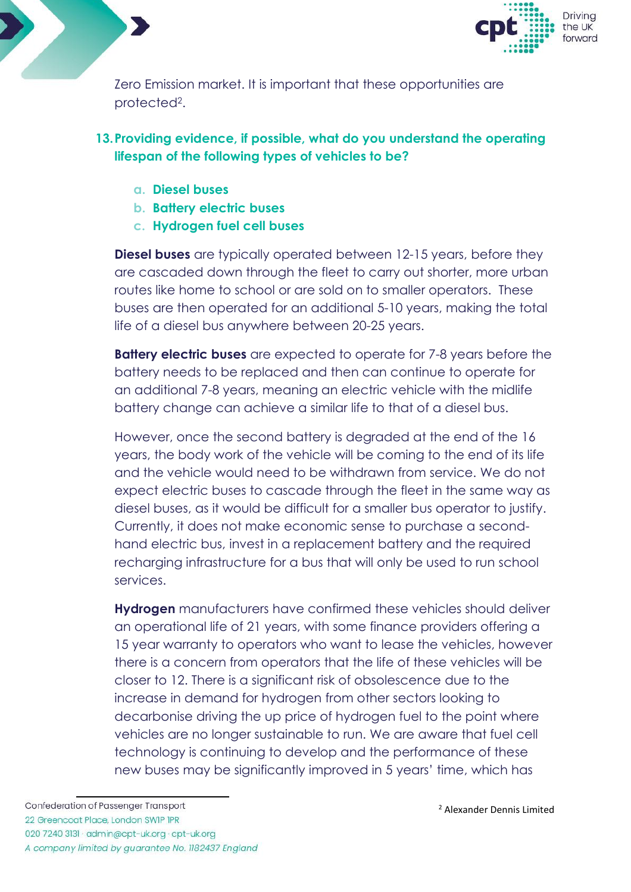



Zero Emission market. It is important that these opportunities are protected<sup>2</sup>.

## **13.Providing evidence, if possible, what do you understand the operating lifespan of the following types of vehicles to be?**

- **a. Diesel buses**
- **b. Battery electric buses**
- **c. Hydrogen fuel cell buses**

**Diesel buses** are typically operated between 12-15 years, before they are cascaded down through the fleet to carry out shorter, more urban routes like home to school or are sold on to smaller operators. These buses are then operated for an additional 5-10 years, making the total life of a diesel bus anywhere between 20-25 years.

**Battery electric buses** are expected to operate for 7-8 years before the battery needs to be replaced and then can continue to operate for an additional 7-8 years, meaning an electric vehicle with the midlife battery change can achieve a similar life to that of a diesel bus.

However, once the second battery is degraded at the end of the 16 years, the body work of the vehicle will be coming to the end of its life and the vehicle would need to be withdrawn from service. We do not expect electric buses to cascade through the fleet in the same way as diesel buses, as it would be difficult for a smaller bus operator to justify. Currently, it does not make economic sense to purchase a secondhand electric bus, invest in a replacement battery and the required recharging infrastructure for a bus that will only be used to run school services.

**Hydrogen** manufacturers have confirmed these vehicles should deliver an operational life of 21 years, with some finance providers offering a 15 year warranty to operators who want to lease the vehicles, however there is a concern from operators that the life of these vehicles will be closer to 12. There is a significant risk of obsolescence due to the increase in demand for hydrogen from other sectors looking to decarbonise driving the up price of hydrogen fuel to the point where vehicles are no longer sustainable to run. We are aware that fuel cell technology is continuing to develop and the performance of these new buses may be significantly improved in 5 years' time, which has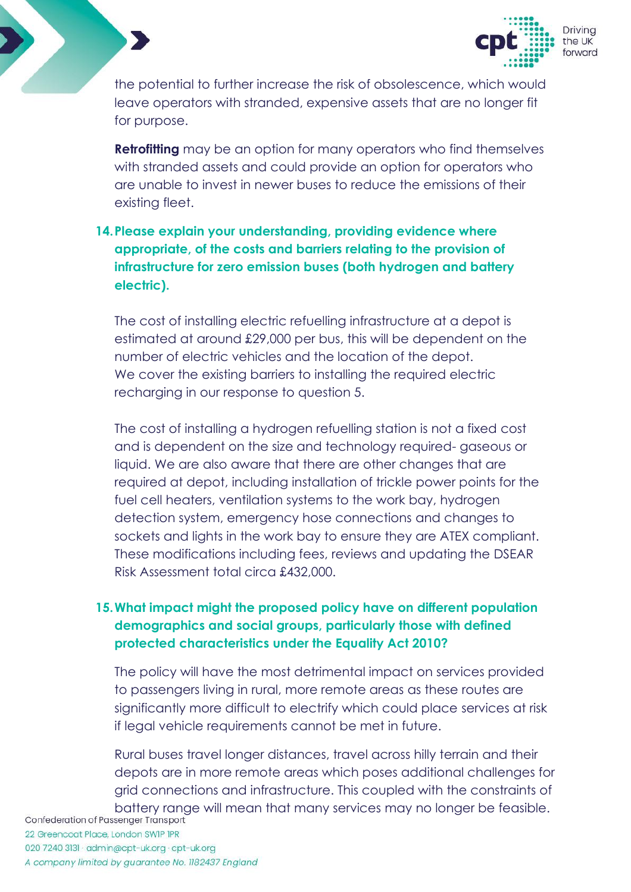

the potential to further increase the risk of obsolescence, which would leave operators with stranded, expensive assets that are no longer fit for purpose.

**Retrofitting** may be an option for many operators who find themselves with stranded assets and could provide an option for operators who are unable to invest in newer buses to reduce the emissions of their existing fleet.

# **14.Please explain your understanding, providing evidence where appropriate, of the costs and barriers relating to the provision of infrastructure for zero emission buses (both hydrogen and battery electric).**

The cost of installing electric refuelling infrastructure at a depot is estimated at around £29,000 per bus, this will be dependent on the number of electric vehicles and the location of the depot. We cover the existing barriers to installing the required electric recharging in our response to question 5.

The cost of installing a hydrogen refuelling station is not a fixed cost and is dependent on the size and technology required- gaseous or liquid. We are also aware that there are other changes that are required at depot, including installation of trickle power points for the fuel cell heaters, ventilation systems to the work bay, hydrogen detection system, emergency hose connections and changes to sockets and lights in the work bay to ensure they are ATEX compliant. These modifications including fees, reviews and updating the DSEAR Risk Assessment total circa £432,000.

## **15.What impact might the proposed policy have on different population demographics and social groups, particularly those with defined protected characteristics under the Equality Act 2010?**

The policy will have the most detrimental impact on services provided to passengers living in rural, more remote areas as these routes are significantly more difficult to electrify which could place services at risk if legal vehicle requirements cannot be met in future.

Rural buses travel longer distances, travel across hilly terrain and their depots are in more remote areas which poses additional challenges for grid connections and infrastructure. This coupled with the constraints of battery range will mean that many services may no longer be feasible.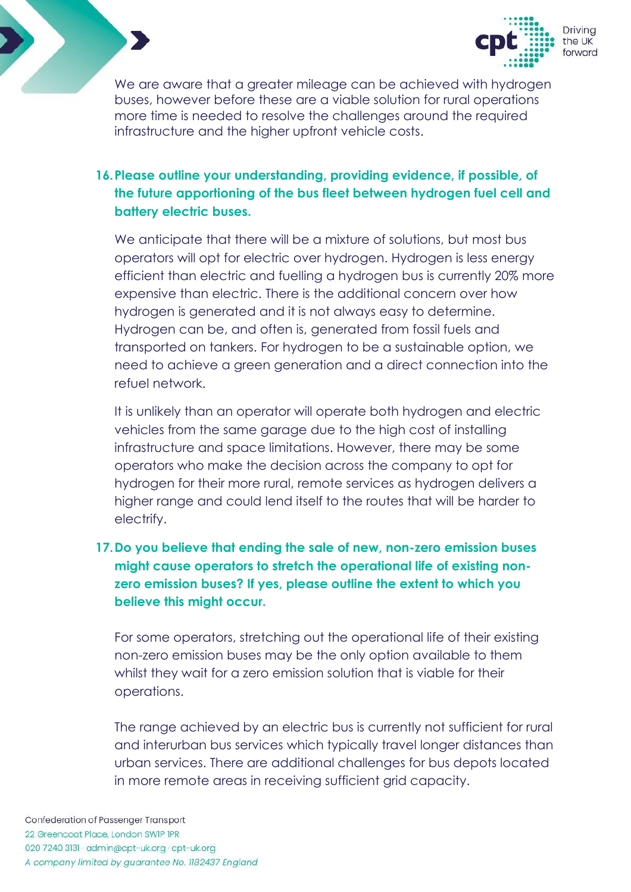

We are aware that a greater mileage can be achieved with hydrogen buses, however before these are a viable solution for rural operations more time is needed to resolve the challenges around the required infrastructure and the higher upfront vehicle costs.

# **16.Please outline your understanding, providing evidence, if possible, of the future apportioning of the bus fleet between hydrogen fuel cell and battery electric buses.**

We anticipate that there will be a mixture of solutions, but most bus operators will opt for electric over hydrogen. Hydrogen is less energy efficient than electric and fuelling a hydrogen bus is currently 20% more expensive than electric. There is the additional concern over how hydrogen is generated and it is not always easy to determine. Hydrogen can be, and often is, generated from fossil fuels and transported on tankers. For hydrogen to be a sustainable option, we need to achieve a green generation and a direct connection into the refuel network.

It is unlikely than an operator will operate both hydrogen and electric vehicles from the same garage due to the high cost of installing infrastructure and space limitations. However, there may be some operators who make the decision across the company to opt for hydrogen for their more rural, remote services as hydrogen delivers a higher range and could lend itself to the routes that will be harder to electrify.

# **17.Do you believe that ending the sale of new, non-zero emission buses might cause operators to stretch the operational life of existing nonzero emission buses? If yes, please outline the extent to which you believe this might occur.**

For some operators, stretching out the operational life of their existing non-zero emission buses may be the only option available to them whilst they wait for a zero emission solution that is viable for their operations.

The range achieved by an electric bus is currently not sufficient for rural and interurban bus services which typically travel longer distances than urban services. There are additional challenges for bus depots located in more remote areas in receiving sufficient grid capacity.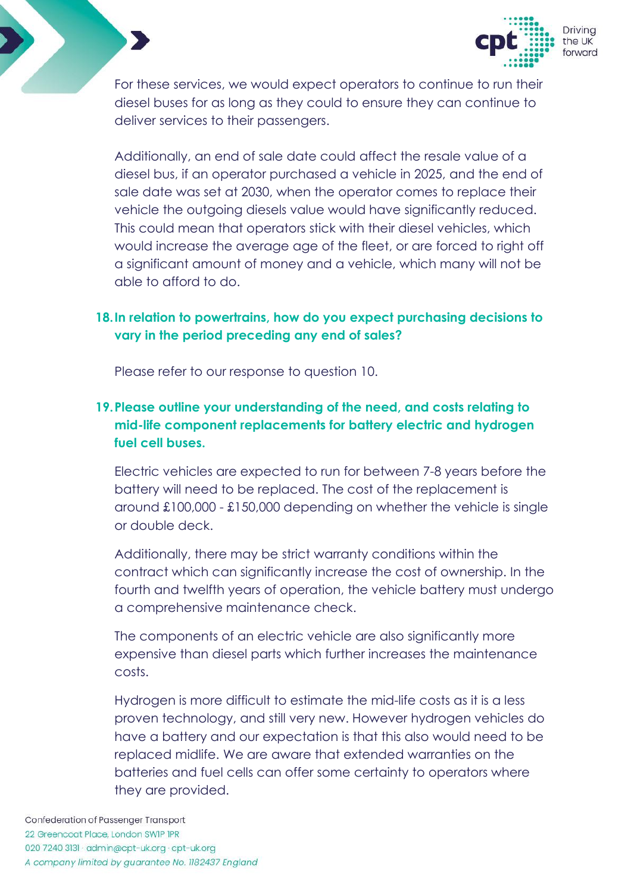

For these services, we would expect operators to continue to run their diesel buses for as long as they could to ensure they can continue to deliver services to their passengers.

Additionally, an end of sale date could affect the resale value of a diesel bus, if an operator purchased a vehicle in 2025, and the end of sale date was set at 2030, when the operator comes to replace their vehicle the outgoing diesels value would have significantly reduced. This could mean that operators stick with their diesel vehicles, which would increase the average age of the fleet, or are forced to right off a significant amount of money and a vehicle, which many will not be able to afford to do.

## **18.In relation to powertrains, how do you expect purchasing decisions to vary in the period preceding any end of sales?**

Please refer to our response to question 10.

# **19.Please outline your understanding of the need, and costs relating to mid-life component replacements for battery electric and hydrogen fuel cell buses.**

Electric vehicles are expected to run for between 7-8 years before the battery will need to be replaced. The cost of the replacement is around £100,000 - £150,000 depending on whether the vehicle is single or double deck.

Additionally, there may be strict warranty conditions within the contract which can significantly increase the cost of ownership. In the fourth and twelfth years of operation, the vehicle battery must undergo a comprehensive maintenance check.

The components of an electric vehicle are also significantly more expensive than diesel parts which further increases the maintenance costs.

Hydrogen is more difficult to estimate the mid-life costs as it is a less proven technology, and still very new. However hydrogen vehicles do have a battery and our expectation is that this also would need to be replaced midlife. We are aware that extended warranties on the batteries and fuel cells can offer some certainty to operators where they are provided.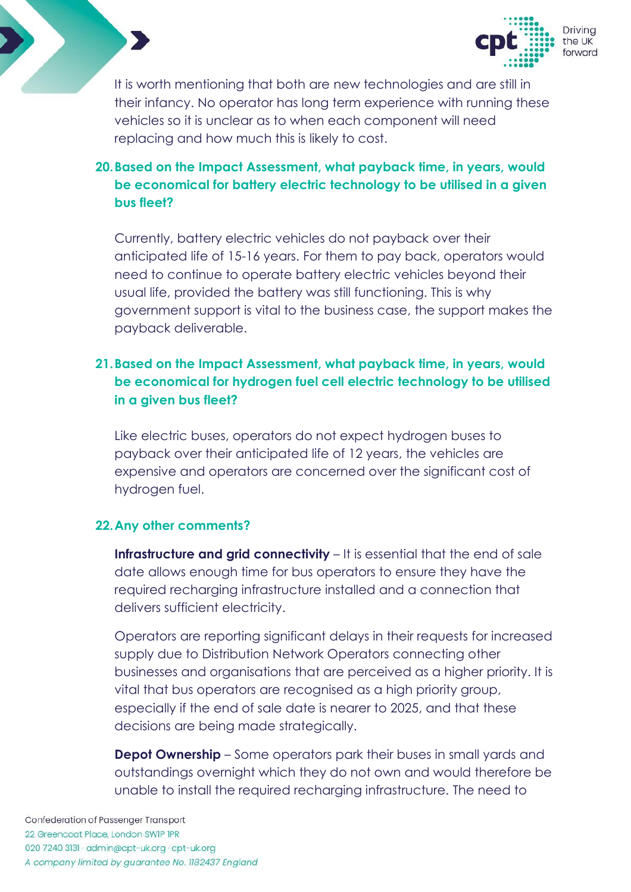

It is worth mentioning that both are new technologies and are still in their infancy. No operator has long term experience with running these vehicles so it is unclear as to when each component will need replacing and how much this is likely to cost.

# **20.Based on the Impact Assessment, what payback time, in years, would be economical for battery electric technology to be utilised in a given bus fleet?**

Currently, battery electric vehicles do not payback over their anticipated life of 15-16 years. For them to pay back, operators would need to continue to operate battery electric vehicles beyond their usual life, provided the battery was still functioning. This is why government support is vital to the business case, the support makes the payback deliverable.

# **21.Based on the Impact Assessment, what payback time, in years, would be economical for hydrogen fuel cell electric technology to be utilised in a given bus fleet?**

Like electric buses, operators do not expect hydrogen buses to payback over their anticipated life of 12 years, the vehicles are expensive and operators are concerned over the significant cost of hydrogen fuel.

#### **22.Any other comments?**

**Infrastructure and grid connectivity** – It is essential that the end of sale date allows enough time for bus operators to ensure they have the required recharging infrastructure installed and a connection that delivers sufficient electricity.

Operators are reporting significant delays in their requests for increased supply due to Distribution Network Operators connecting other businesses and organisations that are perceived as a higher priority. It is vital that bus operators are recognised as a high priority group, especially if the end of sale date is nearer to 2025, and that these decisions are being made strategically.

**Depot Ownership** – Some operators park their buses in small yards and outstandings overnight which they do not own and would therefore be unable to install the required recharging infrastructure. The need to